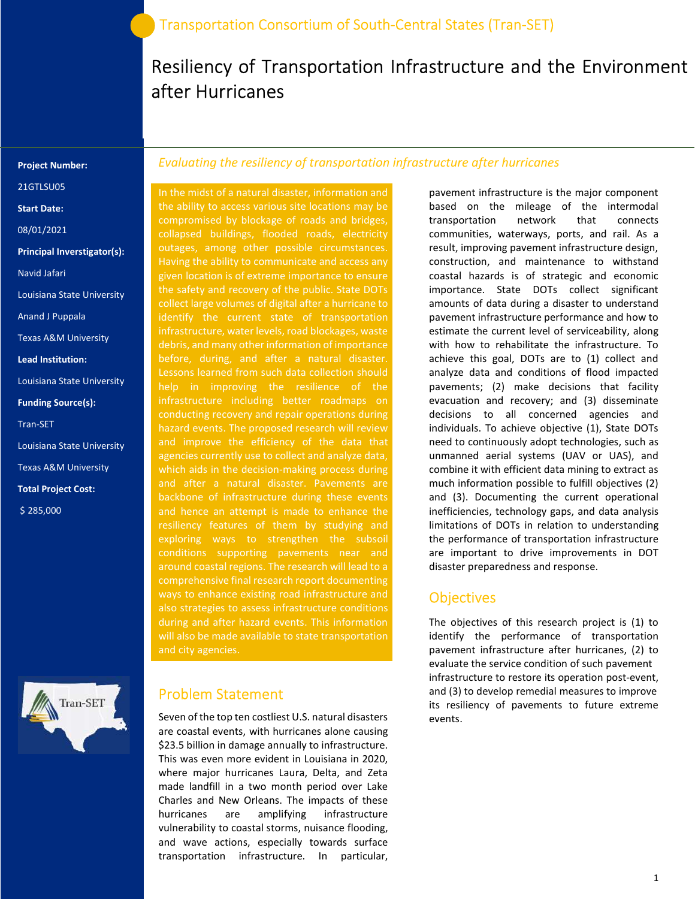# Resiliency of Transportation Infrastructure and the Environment after Hurricanes

#### Project Number:

21GTLSU05

Start Date:

08/01/2021

Principal Inverstigator(s):

Navid Jafari

Louisiana State University

Anand J Puppala

Texas A&M University

Lead Institution:

Louisiana State University

Funding Source(s):

Tran-SET

Louisiana State University Texas A&M University Total Project Cost:

\$ 285,000



### Evaluating the resiliency of transportation infrastructure after hurricanes

In the midst of a natural disaster, information and the ability to access various site locations may be compromised by blockage of roads and bridges, collapsed buildings, flooded roads, electricity outages, among other possible circumstances. Having the ability to communicate and access any given location is of extreme importance to ensure the safety and recovery of the public. State DOTs collect large volumes of digital after a hurricane to infrastructure, water levels, road blockages, waste debris, and many other information of importance before, during, and after a natural disaster. help in improving the resilience of the infrastructure including better roadmaps on conducting recovery and repair operations during hazard events. The proposed research will review agencies currently use to collect and analyze data, which aids in the decision-making process during backbone of infrastructure during these events resiliency features of them by studying and exploring ways to strengthen the subsoil conditions supporting pavements near and around coastal regions. The research will lead to a comprehensive final research report documenting ways to enhance existing road infrastructure and also strategies to assess infrastructure conditions during and after hazard events. This information and city agencies.

### Problem Statement

Seven of the top ten costliest U.S. natural disasters are coastal events, with hurricanes alone causing \$23.5 billion in damage annually to infrastructure. This was even more evident in Louisiana in 2020, where major hurricanes Laura, Delta, and Zeta made landfill in a two month period over Lake Charles and New Orleans. The impacts of these hurricanes are amplifying infrastructure vulnerability to coastal storms, nuisance flooding, and wave actions, especially towards surface transportation infrastructure. In particular,

pavement infrastructure is the major component based on the mileage of the intermodal transportation network that connects communities, waterways, ports, and rail. As a result, improving pavement infrastructure design, construction, and maintenance to withstand coastal hazards is of strategic and economic importance. State DOTs collect significant amounts of data during a disaster to understand pavement infrastructure performance and how to estimate the current level of serviceability, along with how to rehabilitate the infrastructure. To achieve this goal, DOTs are to (1) collect and analyze data and conditions of flood impacted pavements; (2) make decisions that facility evacuation and recovery; and (3) disseminate decisions to all concerned agencies and individuals. To achieve objective (1), State DOTs need to continuously adopt technologies, such as unmanned aerial systems (UAV or UAS), and combine it with efficient data mining to extract as much information possible to fulfill objectives (2) and (3). Documenting the current operational inefficiencies, technology gaps, and data analysis limitations of DOTs in relation to understanding the performance of transportation infrastructure are important to drive improvements in DOT disaster preparedness and response.

### **Objectives**

The objectives of this research project is (1) to identify the performance of transportation pavement infrastructure after hurricanes, (2) to evaluate the service condition of such pavement infrastructure to restore its operation post-event, and (3) to develop remedial measures to improve its resiliency of pavements to future extreme events.